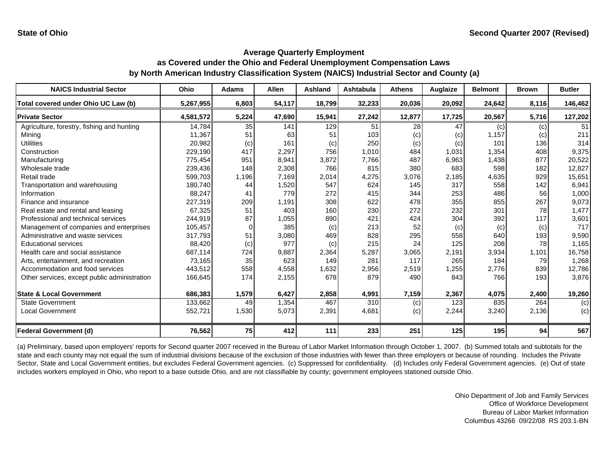| <b>NAICS Industrial Sector</b>               | <b>Ohio</b> | <b>Adams</b> | Allen  | <b>Ashland</b> | Ashtabula | <b>Athens</b> | Auglaize                   | <b>Belmont</b> | <b>Brown</b> | <b>Butler</b> |
|----------------------------------------------|-------------|--------------|--------|----------------|-----------|---------------|----------------------------|----------------|--------------|---------------|
| Total covered under Ohio UC Law (b)          | 5,267,955   | 6,803        | 54,117 | 18,799         | 32,233    | 20,036        | 20,092                     | 24,642         | 8,116        | 146,462       |
| <b>Private Sector</b>                        | 4,581,572   | 5,224        | 47,690 | 15,941         | 27,242    | 12,877        | 17,725                     | 20,567         | 5,716        | 127,202       |
| Agriculture, forestry, fishing and hunting   | 14,784      | 35           | 141    | 129            | 51        | 28            | 47                         | (c)            | $\left( $    | 51            |
| Minina                                       | 11,367      | 51           | 63     | 51             | 103       | (c)           | $\left( \mathrm{c}\right)$ | 1,157          | (c)          | 211           |
| Utilities                                    | 20,982      | (c)          | 161    | (c)            | 250       | (c)           | (c)                        | 101            | 136          | 314           |
| Construction                                 | 229,190     | 417          | 2,297  | 756            | 1,010     | 484           | 1,031                      | 1,354          | 408          | 9,375         |
| Manufacturing                                | 775,454     | 951          | 8,941  | 3,872          | 7,766     | 487           | 6,963                      | 1,438          | 877          | 20,522        |
| Wholesale trade                              | 239.436     | 148          | 2,308  | 766            | 815       | 380           | 683                        | 598            | 182          | 12,827        |
| Retail trade                                 | 599,703     | 1,196        | 7,169  | 2,014          | 4,275     | 3,076         | 2,185                      | 4,635          | 929          | 15,651        |
| Transportation and warehousing               | 180,740     | 44           | 1,520  | 547            | 624       | 145           | 317                        | 558            | 142          | 6,941         |
| Information                                  | 88,247      | 41           | 779    | 272            | 415       | 344           | 253                        | 486            | 56           | 1,000         |
| Finance and insurance                        | 227,319     | 209          | 1,191  | 308            | 622       | 478           | 355                        | 855            | 267          | 9,073         |
| Real estate and rental and leasing           | 67,325      | 51           | 403    | 160            | 230       | 272           | 232                        | 301            | 78           | 1,477         |
| Professional and technical services          | 244,919     | 87           | 1,055  | 890            | 421       | 424           | 304                        | 392            | 117          | 3,601         |
| Management of companies and enterprises      | 105,457     |              | 385    | (c)            | 213       | 52            | (c)                        | (c)            | (c)          | 717           |
| Administrative and waste services            | 317,793     | 51           | 3,080  | 469            | 828       | 295           | 558                        | 640            | 193          | 9,590         |
| Educational services                         | 88,420      | (c)          | 977    | (c)            | 215       | 24            | 125                        | 208            | 78           | 1,165         |
| Health care and social assistance            | 687,114     | 724          | 9,887  | 2,364          | 5,287     | 3,065         | 2,191                      | 3,934          | 1,101        | 16,758        |
| Arts, entertainment, and recreation          | 73,165      | 35           | 623    | 149            | 281       | 117           | 265                        | 184            | 79           | 1,268         |
| Accommodation and food services              | 443,512     | 558          | 4,558  | 1,632          | 2,956     | 2,519         | 1,255                      | 2,776          | 839          | 12,786        |
| Other services, except public administration | 166,645     | 174          | 2,155  | 678            | 879       | 490           | 843                        | 766            | 193          | 3,876         |
| <b>State &amp; Local Government</b>          | 686,383     | 1,579        | 6,427  | 2,858          | 4,991     | 7,159         | 2,367                      | 4,075          | 2,400        | 19,260        |
| <b>State Government</b>                      | 133,662     | 49           | 1,354  | 467            | 310       | (c)           | 123                        | 835            | 264          | (c)           |
| <b>Local Government</b>                      | 552,721     | 1,530        | 5,073  | 2,391          | 4,681     | (c)           | 2,244                      | 3,240          | 2,136        | (c)           |
| <b>Federal Government (d)</b>                | 76,562      | 75           | 412    | 111            | 233       | 251           | 125                        | 195            | 94           | 567           |

(a) Preliminary, based upon employers' reports for Second quarter 2007 received in the Bureau of Labor Market Information through October 1, 2007. (b) Summed totals and subtotals for the state and each county may not equal the sum of industrial divisions because of the exclusion of those industries with fewer than three employers or because of rounding. Includes the Private Sector, State and Local Government entities, but excludes Federal Government agencies. (c) Suppressed for confidentiality. (d) Includes only Federal Government agencies. (e) Out of state includes workers employed in Ohio, who report to a base outside Ohio, and are not classifiable by county; government employees stationed outside Ohio.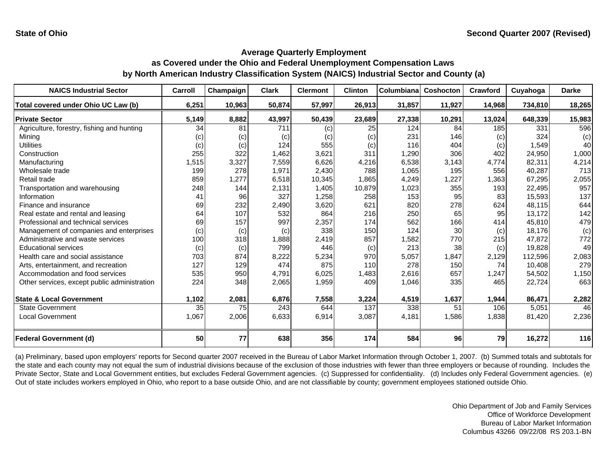| <b>NAICS Industrial Sector</b>               | Carroll | Champaign | Clark  | <b>Clermont</b> | <b>Clinton</b> | Columbiana | Coshocton | Crawford | Cuyahoga | <b>Darke</b> |
|----------------------------------------------|---------|-----------|--------|-----------------|----------------|------------|-----------|----------|----------|--------------|
| Total covered under Ohio UC Law (b)          | 6,251   | 10,963    | 50,874 | 57,997          | 26,913         | 31,857     | 11,927    | 14,968   | 734,810  | 18,265       |
| <b>Private Sector</b>                        | 5,149   | 8,882     | 43,997 | 50,439          | 23,689         | 27,338     | 10,291    | 13,024   | 648,339  | 15,983       |
| Agriculture, forestry, fishing and hunting   | 34      | 81        | 711    | (c)             | 25             | 124        | 84        | 185      | 331      | 596          |
| Minina                                       | (c)     | (c)       | (c)    | (c)             | (c)            | 231        | 146       | (c)      | 324      | (c)          |
| <b>Utilities</b>                             | (c)     | (c)       | 124    | 555             | (c)            | 116        | 404       | (c)      | 1,549    | 40           |
| Construction                                 | 255     | 322       | 1,462  | 3,621           | 311            | 1,290      | 306       | 402      | 24,950   | 1,000        |
| Manufacturing                                | 1,515   | 3,327     | 7,559  | 6,626           | 4,216          | 6,538      | 3,143     | 4,774    | 82,311   | 4,214        |
| Wholesale trade                              | 199     | 278       | 1,971  | 2,430           | 788            | 1,065      | 195       | 556      | 40,287   | 713          |
| Retail trade                                 | 859     | 1,277     | 6,518  | 10,345          | 1,865          | 4,249      | 1,227     | 1,363    | 67,295   | 2,055        |
| Transportation and warehousing               | 248     | 144       | 2,131  | 1,405           | 10,879         | 1,023      | 355       | 193      | 22,495   | 957          |
| Information                                  | 41      | 96        | 327    | 1,258           | 258            | 153        | 95        | 83       | 15,593   | 137          |
| Finance and insurance                        | 69      | 232       | 2,490  | 3,620           | 621            | 820        | 278       | 624      | 48.115   | 644          |
| Real estate and rental and leasing           | 64      | 107       | 532    | 864             | 216            | 250        | 65        | 95       | 13,172   | 142          |
| Professional and technical services          | 69      | 157       | 997    | 2,357           | 174            | 562        | 166       | 414      | 45,810   | 479          |
| Management of companies and enterprises      | (c)     | (c)       | (c)    | 338             | 150            | 124        | 30        | (c)      | 18,176   | (c)          |
| Administrative and waste services            | 100     | 318       | 1,888  | 2,419           | 857            | 1,582      | 770       | 215      | 47,872   | 772          |
| <b>Educational services</b>                  | (c)     | (c)       | 799    | 446             | (c)            | 213        | 38        | (c)      | 19,828   | 49           |
| Health care and social assistance            | 703     | 874       | 8,222  | 5,234           | 970            | 5,057      | 1,847     | 2,129    | 112,596  | 2,083        |
| Arts, entertainment, and recreation          | 127     | 129       | 474    | 875             | 110            | 278        | 150       | 74       | 10,408   | 279          |
| Accommodation and food services              | 535     | 950       | 4,791  | 6,025           | 1,483          | 2,616      | 657       | 1,247    | 54,502   | 1,150        |
| Other services, except public administration | 224     | 348       | 2,065  | 1,959           | 409            | 1,046      | 335       | 465      | 22,724   | 663          |
|                                              |         |           |        |                 |                |            |           |          |          |              |
| <b>State &amp; Local Government</b>          | 1,102   | 2,081     | 6,876  | 7,558           | 3,224          | 4,519      | 1,637     | 1,944    | 86,471   | 2,282        |
| <b>State Government</b>                      | 35      | 75        | 243    | 644             | 137            | 338        | 51        | 106      | 5,051    | 46           |
| <b>Local Government</b>                      | 1,067   | 2,006     | 6,633  | 6,914           | 3,087          | 4,181      | 1,586     | 1,838    | 81,420   | 2,236        |
| <b>Federal Government (d)</b>                | 50      | 77        | 638    | 356             | 174            | 584        | 96        | 79       | 16,272   | 116          |

(a) Preliminary, based upon employers' reports for Second quarter 2007 received in the Bureau of Labor Market Information through October 1, 2007. (b) Summed totals and subtotals for the state and each county may not equal the sum of industrial divisions because of the exclusion of those industries with fewer than three employers or because of rounding. Includes the Private Sector, State and Local Government entities, but excludes Federal Government agencies. (c) Suppressed for confidentiality. (d) Includes only Federal Government agencies. (e) Out of state includes workers employed in Ohio, who report to a base outside Ohio, and are not classifiable by county; government employees stationed outside Ohio.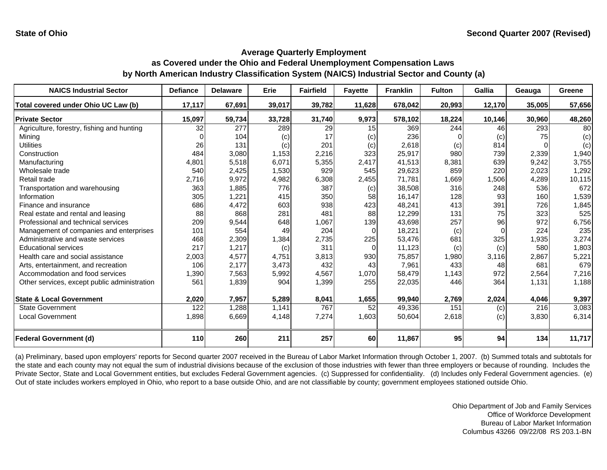| <b>NAICS Industrial Sector</b>               | <b>Defiance</b> | <b>Delaware</b> | Erie   | <b>Fairfield</b> | <b>Fayette</b> | <b>Franklin</b> | <b>Fulton</b> | <b>Gallia</b> | Geauga | Greene          |
|----------------------------------------------|-----------------|-----------------|--------|------------------|----------------|-----------------|---------------|---------------|--------|-----------------|
| Total covered under Ohio UC Law (b)          | 17,117          | 67,691          | 39,017 | 39,782           | 11,628         | 678,042         | 20,993        | 12,170        | 35,005 | 57,656          |
| <b>Private Sector</b>                        | 15,097          | 59,734          | 33,728 | 31,740           | 9,973          | 578,102         | 18,224        | 10,146        | 30,960 | 48,260          |
| Agriculture, forestry, fishing and hunting   | 32              | 277             | 289    | 29               | 15             | 369             | 244           | 46            | 293    | 80 <sup>1</sup> |
| Mining                                       | <sup>0</sup>    | 104             | (c)    | 17               | (c)            | 236             |               | (c)           | 75     | (c)             |
| <b>Utilities</b>                             | 26              | 131             | (c)    | 201              | (c)            | 2,618           | (c)           | 814           |        | (c)             |
| Construction                                 | 484             | 3,080           | 1,153  | 2,216            | 323            | 25,917          | 980           | 739           | 2,339  | 1,940           |
| Manufacturing                                | 4,801           | 5,518           | 6,071  | 5,355            | 2,417          | 41,513          | 8,381         | 639           | 9,242  | 3,755           |
| Wholesale trade                              | 540             | 2,425           | 1,530  | 929              | 545            | 29,623          | 859           | 220           | 2,023  | 1,292           |
| Retail trade                                 | 2,716           | 9,972           | 4,982  | 6,308            | 2,455          | 71,781          | 1,669         | 1,506         | 4,289  | 10,115          |
| Transportation and warehousing               | 363             | 1,885           | 776    | 387              | (c)            | 38,508          | 316           | 248           | 536    | 672             |
| Information                                  | 305             | 1,221           | 415    | 350              | 58             | 16,147          | 128           | 93            | 160    | 1,539           |
| Finance and insurance                        | 686             | 4,472           | 603    | 938              | 423            | 48,241          | 413           | 391           | 726    | 1,845           |
| Real estate and rental and leasing           | 88              | 868             | 281    | 481              | 88             | 12,299          | 131           | 75            | 323    | 525             |
| Professional and technical services          | 209             | 9,544           | 648    | 1,067            | 139            | 43,698          | 257           | 96            | 972    | 6,756           |
| Management of companies and enterprises      | 101             | 554             | 49     | 204              | $\Omega$       | 18,221          | (c)           | $\Omega$      | 224    | 235             |
| Administrative and waste services            | 468             | 2,309           | 1,384  | 2,735            | 225            | 53,476          | 681           | 325           | 1,935  | 3,274           |
| <b>Educational services</b>                  | 217             | 1,217           | (c)    | 311              | $\Omega$       | 11,123          | (c)           | (c)           | 580    | 1,803           |
| Health care and social assistance            | 2,003           | 4,577           | 4,751  | 3,813            | 930            | 75,857          | 1,980         | 3.116         | 2,867  | 5,221           |
| Arts, entertainment, and recreation          | 106             | 2,177           | 3,473  | 432              | 43             | 7,961           | 433           | 48            | 681    | 679             |
| Accommodation and food services              | 1,390           | 7,563           | 5,992  | 4,567            | 1,070          | 58,479          | 1,143         | 972           | 2,564  | 7,216           |
| Other services, except public administration | 561             | 1,839           | 904    | 1,399            | 255            | 22,035          | 446           | 364           | 1,131  | 1,188           |
| <b>State &amp; Local Government</b>          | 2,020           | 7,957           | 5,289  | 8,041            | 1,655          | 99,940          | 2,769         | 2,024         | 4,046  | 9,397           |
| <b>State Government</b>                      | 122             | 1,288           | 1,141  | 767              | 52             | 49,336          | 151           | (c)           | 216    | 3,083           |
| <b>Local Government</b>                      | 1,898           | 6,669           | 4,148  | 7,274            | 1,603          | 50,604          | 2,618         | (c)           | 3,830  | 6,314           |
|                                              |                 |                 |        |                  |                |                 |               |               |        |                 |
| <b>Federal Government (d)</b>                | 110             | 260             | 211    | 257              | <b>60</b>      | 11,867          | 95            | 94            | 134    | 11,717          |

(a) Preliminary, based upon employers' reports for Second quarter 2007 received in the Bureau of Labor Market Information through October 1, 2007. (b) Summed totals and subtotals for the state and each county may not equal the sum of industrial divisions because of the exclusion of those industries with fewer than three employers or because of rounding. Includes the Private Sector, State and Local Government entities, but excludes Federal Government agencies. (c) Suppressed for confidentiality. (d) Includes only Federal Government agencies. (e) Out of state includes workers employed in Ohio, who report to a base outside Ohio, and are not classifiable by county; government employees stationed outside Ohio.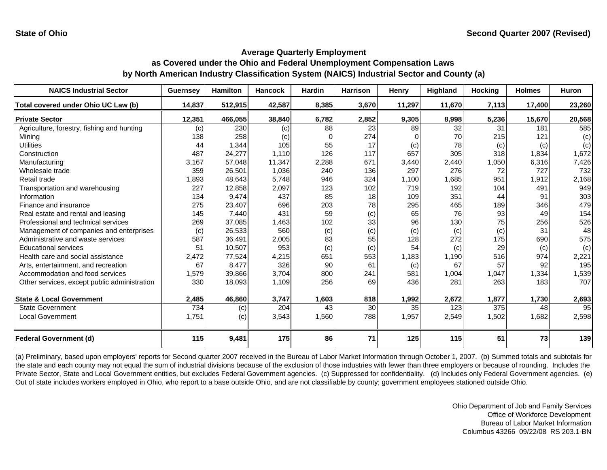| <b>NAICS Industrial Sector</b>               | <b>Guernsey</b> | <b>Hamilton</b> | <b>Hancock</b> | <b>Hardin</b> | <b>Harrison</b> | Henry  | Highland | <b>Hocking</b> | <b>Holmes</b> | <b>Huron</b> |
|----------------------------------------------|-----------------|-----------------|----------------|---------------|-----------------|--------|----------|----------------|---------------|--------------|
| Total covered under Ohio UC Law (b)          | 14,837          | 512,915         | 42,587         | 8,385         | 3,670           | 11,297 | 11,670   | 7,113          | 17,400        | 23,260       |
| <b>Private Sector</b>                        | 12,351          | 466,055         | 38,840         | 6,782         | 2,852           | 9,305  | 8,998    | 5,236          | 15,670        | 20,568       |
| Agriculture, forestry, fishing and hunting   | (c)             | 230             | (c)            | 88            | 23              | 89     | 32       | 31             | 181           | 585          |
| Minina                                       | 138             | 258             | (c)            |               | 274             |        | 70       | 215            | 121           | (c)          |
| <b>Utilities</b>                             | 44              | 1,344           | 105            | 55            | 17              | (c)    | 78       | (c)            | (c)           | (c)          |
| Construction                                 | 487             | 24,277          | 1,110          | 126           | 117             | 657    | 305      | 318            | 1,834         | 1,672        |
| Manufacturing                                | 3,167           | 57,048          | 11,347         | 2,288         | 671             | 3,440  | 2,440    | 1,050          | 6,316         | 7,426        |
| Wholesale trade                              | 359             | 26,501          | 1,036          | 240           | 136             | 297    | 276      | 72             | 727           | 732          |
| Retail trade                                 | 1.893           | 48,643          | 5,748          | 946           | 324             | 1,100  | 1,685    | 951            | 1,912         | 2,168        |
| Transportation and warehousing               | 227             | 12,858          | 2,097          | 123           | 102             | 719    | 192      | 104            | 491           | 949          |
| Information                                  | 134             | 9,474           | 437            | 85            | 18              | 109    | 351      | 44             | 91            | 303          |
| Finance and insurance                        | 275             | 23,407          | 696            | 203           | 78              | 295    | 465      | 189            | 346           | 479          |
| Real estate and rental and leasing           | 145             | 7,440           | 431            | 59            | (c)             | 65     | 76       | 93             | 49            | 154          |
| Professional and technical services          | 269             | 37,085          | 1,463          | 102           | 33              | 96     | 130      | 75             | 256           | 526          |
| Management of companies and enterprises      | (c)             | 26,533          | 560            | (c)           | (c)             | (c)    | (c)      | (c)            | 31            | 48           |
| Administrative and waste services            | 587             | 36,491          | 2,005          | 83            | 55              | 128    | 272      | 175            | 690           | 575          |
| <b>Educational services</b>                  | 51              | 10,507          | 953            | (c)           | (c)             | 54     | (c)      | 29             | (c)           | (c)          |
| Health care and social assistance            | 2,472           | 77,524          | 4,215          | 651           | 553             | 1,183  | 1,190    | 516            | 974           | 2,221        |
| Arts, entertainment, and recreation          | 67              | 8,477           | 326            | 90            | 61              | (c)    | 67       | 57             | 92            | 195          |
| Accommodation and food services              | 1,579           | 39,866          | 3,704          | 800           | 241             | 581    | 1,004    | 1,047          | 1,334         | 1,539        |
| Other services, except public administration | 330             | 18,093          | 1,109          | 256           | 69              | 436    | 281      | 263            | 183           | 707          |
| <b>State &amp; Local Government</b>          | 2,485           | 46,860          | 3,747          | 1,603         | 818             | 1,992  | 2,672    | 1,877          | 1,730         | 2,693        |
| <b>State Government</b>                      | 734             | (c)             | 204            | 43            | 30              | 35     | 123      | 375            | 48            | 95           |
| <b>Local Government</b>                      | 1,751           | (c)             | 3,543          | 1,560         | 788             | 1,957  | 2,549    | 1,502          | 1,682         | 2,598        |
| <b>Federal Government (d)</b>                | 115             | 9,481           | 175            | 86            | 71              | 125    | 115      | 51             | 73            | 139          |

(a) Preliminary, based upon employers' reports for Second quarter 2007 received in the Bureau of Labor Market Information through October 1, 2007. (b) Summed totals and subtotals for the state and each county may not equal the sum of industrial divisions because of the exclusion of those industries with fewer than three employers or because of rounding. Includes the Private Sector, State and Local Government entities, but excludes Federal Government agencies. (c) Suppressed for confidentiality. (d) Includes only Federal Government agencies. (e) Out of state includes workers employed in Ohio, who report to a base outside Ohio, and are not classifiable by county; government employees stationed outside Ohio.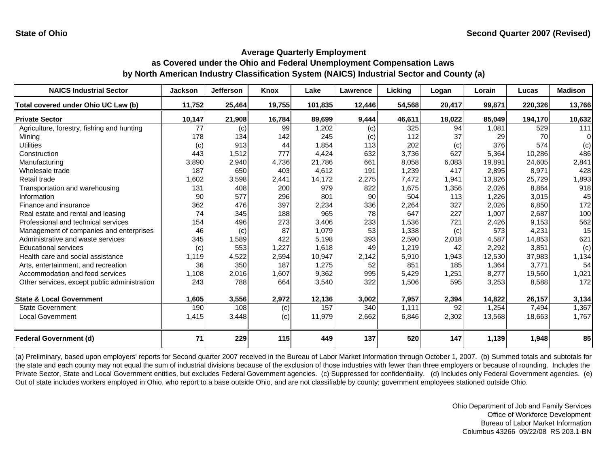| <b>NAICS Industrial Sector</b>               | <b>Jackson</b> | <b>Jefferson</b> | Knox   | Lake    | Lawrence | Licking | Logan  | Lorain | Lucas   | <b>Madison</b>   |
|----------------------------------------------|----------------|------------------|--------|---------|----------|---------|--------|--------|---------|------------------|
| Total covered under Ohio UC Law (b)          | 11,752         | 25,464           | 19,755 | 101,835 | 12,446   | 54,568  | 20,417 | 99,871 | 220,326 | 13,766           |
| <b>Private Sector</b>                        | 10,147         | 21,908           | 16,784 | 89,699  | 9,444    | 46,611  | 18,022 | 85,049 | 194,170 | 10,632           |
| Agriculture, forestry, fishing and hunting   | 77             | (c)              | 99     | 1,202   | (c)      | 325     | 94     | 1,081  | 529     | $\overline{111}$ |
| Mining                                       | 178            | 134              | 142    | 245     | (c)      | 112     | 37     | 29     | 70      |                  |
| <b>Utilities</b>                             | (c)            | 913              | 44     | 1,854   | 113      | 202     | (c)    | 376    | 574     | (c)              |
| Construction                                 | 443            | 1,512            | 777    | 4,424   | 632      | 3,736   | 627    | 5,364  | 10,286  | 486              |
| Manufacturing                                | 3,890          | 2,940            | 4,736  | 21,786  | 661      | 8,058   | 6,083  | 19,891 | 24,605  | 2,841            |
| Wholesale trade                              | 187            | 650              | 403    | 4,612   | 191      | 1,239   | 417    | 2,895  | 8,971   | 428              |
| Retail trade                                 | 1,602          | 3,598            | 2,441  | 14,172  | 2,275    | 7,472   | 1,941  | 13,826 | 25,729  | 1,893            |
| Transportation and warehousing               | 131            | 408              | 200    | 979     | 822      | 1,675   | 1,356  | 2,026  | 8,864   | 918              |
| Information                                  | 90             | 577              | 296    | 801     | 90       | 504     | 113    | 1,226  | 3,015   | 45               |
| Finance and insurance                        | 362            | 476              | 397    | 2,234   | 336      | 2,264   | 327    | 2,026  | 6,850   | 172              |
| Real estate and rental and leasing           | 74             | 345              | 188    | 965     | 78       | 647     | 227    | 1,007  | 2,687   | 100              |
| Professional and technical services          | 154            | 496              | 273    | 3,406   | 233      | 1,536   | 721    | 2,426  | 9,153   | 562              |
| Management of companies and enterprises      | 46             | (c)              | 87     | 1,079   | 53       | 1,338   | (c)    | 573    | 4,231   | 15               |
| Administrative and waste services            | 345            | 1,589            | 422    | 5,198   | 393      | 2,590   | 2,018  | 4,587  | 14,853  | 621              |
| <b>Educational services</b>                  | (c)            | 553              | 1,227  | 1,618   | 49       | 1,219   | 42     | 2,292  | 3,851   | (c)              |
| Health care and social assistance            | 1,119          | 4,522            | 2,594  | 10,947  | 2,142    | 5,910   | 1,943  | 12,530 | 37,983  | 1,134            |
| Arts, entertainment, and recreation          | 36             | 350              | 187    | 1,275   | 52       | 851     | 185    | 1,364  | 3,771   | 54               |
| Accommodation and food services              | 1,108          | 2,016            | 1,607  | 9,362   | 995      | 5,429   | 1,251  | 8,277  | 19,560  | 1,021            |
| Other services, except public administration | 243            | 788              | 664    | 3,540   | 322      | 1,506   | 595    | 3,253  | 8,588   | 172              |
| <b>State &amp; Local Government</b>          | 1,605          | 3,556            | 2,972  | 12,136  | 3,002    | 7,957   | 2,394  | 14,822 | 26,157  | 3,134            |
| <b>State Government</b>                      | 190            | 108              | (c)    | 157     | 340      | 1,111   | 92     | 1,254  | 7,494   | 1,367            |
| <b>Local Government</b>                      | 1,415          | 3,448            | (c)    | 11,979  | 2,662    | 6,846   | 2,302  | 13,568 | 18,663  | 1,767            |
| <b>Federal Government (d)</b>                | 71             | 229              | 115    | 449     | 137      | 520     | 147    | 1,139  | 1,948   | 85               |

(a) Preliminary, based upon employers' reports for Second quarter 2007 received in the Bureau of Labor Market Information through October 1, 2007. (b) Summed totals and subtotals for the state and each county may not equal the sum of industrial divisions because of the exclusion of those industries with fewer than three employers or because of rounding. Includes the Private Sector, State and Local Government entities, but excludes Federal Government agencies. (c) Suppressed for confidentiality. (d) Includes only Federal Government agencies. (e) Out of state includes workers employed in Ohio, who report to a base outside Ohio, and are not classifiable by county; government employees stationed outside Ohio.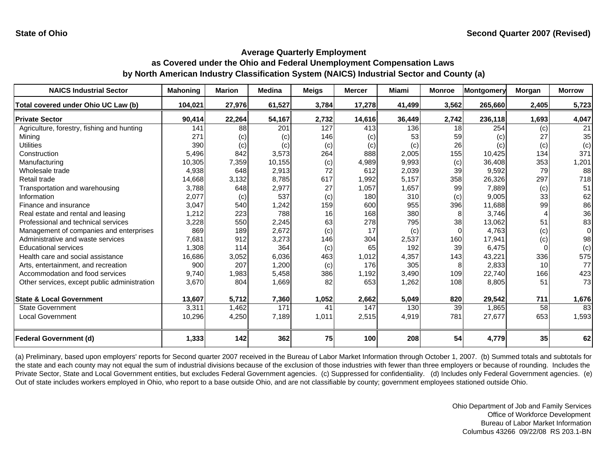| <b>NAICS Industrial Sector</b>               | <b>Mahoning</b> | <b>Marion</b> | <b>Medina</b> | <b>Meigs</b>    | <b>Mercer</b> | Miami  | <b>Monroe</b> | Montgomery | <b>Morgan</b> | <b>Morrow</b> |
|----------------------------------------------|-----------------|---------------|---------------|-----------------|---------------|--------|---------------|------------|---------------|---------------|
| Total covered under Ohio UC Law (b)          | 104,021         | 27,976        | 61,527        | 3,784           | 17,278        | 41,499 | 3,562         | 265,660    | 2,405         | 5,723         |
| <b>Private Sector</b>                        | 90,414          | 22,264        | 54,167        | 2,732           | 14,616        | 36,449 | 2,742         | 236,118    | 1,693         | 4,047         |
| Agriculture, forestry, fishing and hunting   | 141             | 88            | 201           | 127             | 413           | 136    | 18            | 254        | (c)           | 21            |
| Mining                                       | 271             | (c)           | (c)           | 146             | (c)           | 53     | 59            | (c)        | 27            | 35            |
| <b>Utilities</b>                             | 390             | (c)           | (c)           | (c)             | (c)           | (c)    | 26            | (c)        | (c)           | (c)           |
| Construction                                 | 5,496           | 842           | 3,573         | 264             | 888           | 2,005  | 155           | 10,425     | 134           | 371           |
| Manufacturing                                | 10,305          | 7,359         | 10,155        | (c)             | 4,989         | 9,993  | (c)           | 36,408     | 353           | 1,201         |
| Wholesale trade                              | 4,938           | 648           | 2,913         | 72              | 612           | 2,039  | 39            | 9,592      | 79            | 88            |
| Retail trade                                 | 14,668          | 3,132         | 8,785         | 617             | 1,992         | 5,157  | 358           | 26,326     | 297           | 718           |
| Transportation and warehousing               | 3,788           | 648           | 2,977         | 27              | 1,057         | 1,657  | 99            | 7,889      | (c)           | 51            |
| Information                                  | 2,077           | (c)           | 537           | (c)             | 180           | 310    | (c)           | 9,005      | 33            | 62            |
| Finance and insurance                        | 3,047           | 540           | 1,242         | 159             | 600           | 955    | 396           | 11,688     | 99            | 86            |
| Real estate and rental and leasing           | 1,212           | 223           | 788           | 16 <sup>1</sup> | 168           | 380    | 8             | 3,746      |               | 36            |
| Professional and technical services          | 3,228           | 550           | 2,245         | 63              | 278           | 795    | 38            | 13,062     | 51            | 83            |
| Management of companies and enterprises      | 869             | 189           | 2,672         | (c)             | 17            | (c)    | $\Omega$      | 4,763      | (c)           | $\Omega$      |
| Administrative and waste services            | 7,681           | 912           | 3,273         | 146             | 304           | 2,537  | 160           | 17,941     | (c)           | 98            |
| <b>Educational services</b>                  | 1,308           | 114           | 364           | (c)             | 65            | 192    | 39            | 6.475      | $\Omega$      | (c)           |
| Health care and social assistance            | 16,686          | 3,052         | 6,036         | 463             | 1,012         | 4,357  | 143           | 43,221     | 336           | 575           |
| Arts, entertainment, and recreation          | 900             | 207           | 1,200         | (c)             | 176           | 305    | 8             | 2,833      | 10            | 77            |
| Accommodation and food services              | 9,740           | 1,983         | 5,458         | 386             | 1,192         | 3,490  | 109           | 22,740     | 166           | 423           |
| Other services, except public administration | 3,670           | 804           | 1,669         | 82              | 653           | 1,262  | 108           | 8,805      | 51            | 73            |
|                                              |                 |               |               |                 |               |        |               |            |               |               |
| <b>State &amp; Local Government</b>          | 13,607          | 5,712         | 7,360         | 1,052           | 2,662         | 5,049  | 820           | 29,542     | 711           | 1,676         |
| <b>State Government</b>                      | 3,311           | 1,462         | 171           | 41              | 147           | 130    | 39            | 1,865      | 58            | 83            |
| <b>Local Government</b>                      | 10,296          | 4,250         | 7,189         | 1,011           | 2,515         | 4,919  | 781           | 27,677     | 653           | 1,593         |
| <b>Federal Government (d)</b>                | 1,333           | 142           | 362           | 75              | 100           | 208    | 54            | 4,779      | 35            | 62            |

(a) Preliminary, based upon employers' reports for Second quarter 2007 received in the Bureau of Labor Market Information through October 1, 2007. (b) Summed totals and subtotals for the state and each county may not equal the sum of industrial divisions because of the exclusion of those industries with fewer than three employers or because of rounding. Includes the Private Sector, State and Local Government entities, but excludes Federal Government agencies. (c) Suppressed for confidentiality. (d) Includes only Federal Government agencies. (e) Out of state includes workers employed in Ohio, who report to a base outside Ohio, and are not classifiable by county; government employees stationed outside Ohio.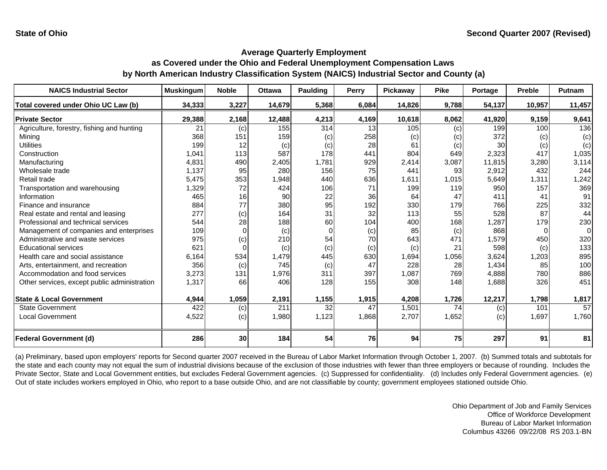| <b>NAICS Industrial Sector</b>               | <b>Muskingum</b> | <b>Noble</b> | <b>Ottawa</b> | <b>Paulding</b> | Perry | Pickaway | <b>Pike</b>    | Portage | <b>Preble</b> | Putnam   |
|----------------------------------------------|------------------|--------------|---------------|-----------------|-------|----------|----------------|---------|---------------|----------|
| Total covered under Ohio UC Law (b)          | 34,333           | 3,227        | 14,679        | 5,368           | 6,084 | 14,826   | 9,788          | 54,137  | 10,957        | 11,457   |
| <b>Private Sector</b>                        | 29,388           | 2,168        | 12,488        | 4,213           | 4,169 | 10,618   | 8,062          | 41,920  | 9,159         | 9,641    |
| Agriculture, forestry, fishing and hunting   | 21               | (c)          | 155           | 314             | 13    | 105      | $\overline{c}$ | 199     | 100           | 136      |
| Minina                                       | 368              | 151          | 159           | (c)             | 258   | (c)      | (c)            | 372     | (c)           | (c)      |
| <b>Utilities</b>                             | 199              | 12           | (c)           | (c)             | 28    | 61       | (c)            | 30      | (c)           | (c)      |
| Construction                                 | 1,041            | 113          | 587           | 178             | 441   | 804      | 649            | 2,323   | 417           | 1,035    |
| Manufacturing                                | 4,831            | 490          | 2,405         | 1,781           | 929   | 2,414    | 3,087          | 11,815  | 3,280         | 3,114    |
| Wholesale trade                              | 1,137            | 95           | 280           | 156             | 75    | 441      | 93             | 2,912   | 432           | 244      |
| Retail trade                                 | 5,475            | 353          | 1,948         | 440             | 636   | 1,611    | 1,015          | 5,649   | 1,311         | 1,242    |
| Transportation and warehousing               | 1,329            | 72           | 424           | 106             | 71    | 199      | 119            | 950     | 157           | 369      |
| Information                                  | 465              | 16           | 90            | 22              | 36    | 64       | 47             | 411     | 41            | 91       |
| Finance and insurance                        | 884              | 77           | 380           | 95              | 192   | 330      | 179            | 766     | 225           | 332      |
| Real estate and rental and leasing           | 277              | (c)          | 164           | 31              | 32    | 113      | 55             | 528     | 87            | 44       |
| Professional and technical services          | 544              | 28           | 188           | 60              | 104   | 400      | 168            | 1,287   | 179           | 230      |
| Management of companies and enterprises      | 109              | $\Omega$     | (c)           | $\Omega$        | (c)   | 85       | (c)            | 868     |               | $\Omega$ |
| Administrative and waste services            | 975              | (c)          | 210           | 54              | 70    | 643      | 471            | 1,579   | 450           | 320      |
| <b>Educational services</b>                  | 621              |              | (c)           | (c)             | (c)   | (c)      | 21             | 598     | (c)           | 133      |
| Health care and social assistance            | 6,164            | 534          | 1,479         | 445             | 630   | 1,694    | 1,056          | 3,624   | 1,203         | 895      |
| Arts, entertainment, and recreation          | 356              | (c)          | 745           | (c)             | 47    | 228      | 28             | 1,434   | 85            | 100      |
| Accommodation and food services              | 3,273            | 131          | 1,976         | 311             | 397   | 1,087    | 769            | 4,888   | 780           | 886      |
| Other services, except public administration | 1,317            | 66           | 406           | 128             | 155   | 308      | 148            | 1,688   | 326           | 451      |
|                                              |                  |              |               |                 |       |          |                |         |               |          |
| <b>State &amp; Local Government</b>          | 4,944            | 1,059        | 2,191         | 1,155           | 1,915 | 4,208    | 1,726          | 12,217  | 1,798         | 1,817    |
| <b>State Government</b>                      | 422              | (c)          | 211           | 32              | 47    | 1,501    | 74             | (c)     | 101           | 57       |
| <b>Local Government</b>                      | 4,522            | (c)          | 1,980         | 1,123           | 1,868 | 2,707    | 1,652          | (c)     | 1,697         | 1,760    |
| <b>Federal Government (d)</b>                | 286              | 30           | 184           | 54              | 76    | 94       | 75             | 297     | 91            | 81       |

(a) Preliminary, based upon employers' reports for Second quarter 2007 received in the Bureau of Labor Market Information through October 1, 2007. (b) Summed totals and subtotals for the state and each county may not equal the sum of industrial divisions because of the exclusion of those industries with fewer than three employers or because of rounding. Includes the Private Sector, State and Local Government entities, but excludes Federal Government agencies. (c) Suppressed for confidentiality. (d) Includes only Federal Government agencies. (e) Out of state includes workers employed in Ohio, who report to a base outside Ohio, and are not classifiable by county; government employees stationed outside Ohio.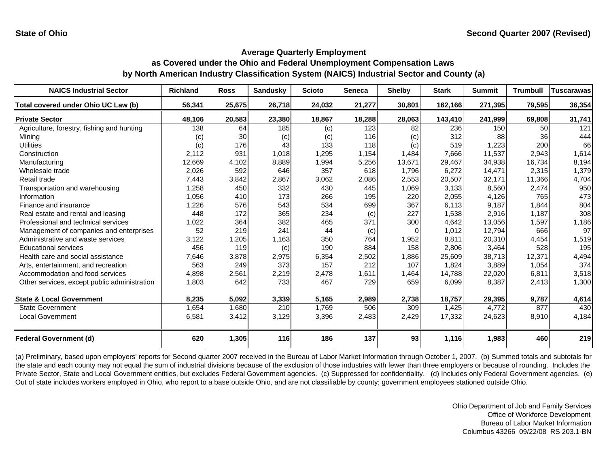| <b>NAICS Industrial Sector</b>               | <b>Richland</b> | <b>Ross</b> | <b>Sandusky</b> | <b>Scioto</b> | Seneca | <b>Shelby</b> | <b>Stark</b> | <b>Summit</b> | <b>Trumbull</b> | <b>Tuscarawas</b> |
|----------------------------------------------|-----------------|-------------|-----------------|---------------|--------|---------------|--------------|---------------|-----------------|-------------------|
| Total covered under Ohio UC Law (b)          | 56,341          | 25,675      | 26,718          | 24,032        | 21,277 | 30,801        | 162,166      | 271,395       | 79,595          | 36,354            |
| <b>Private Sector</b>                        | 48,106          | 20,583      | 23,380          | 18,867        | 18,288 | 28,063        | 143,410      | 241,999       | 69,808          | 31,741            |
| Agriculture, forestry, fishing and hunting   | 138             | 64          | 185             | (c)           | 123    | 82            | 236          | 150           | 50              | 121               |
| Mining                                       | (c)             | 30          | (c)             | (c)           | 116    | (c)           | 312          | 88            | 36              | 444               |
| Utilities                                    | (c)             | 176         | 43              | 133           | 118    | (c)           | 519          | 1,223         | 200             | 66                |
| Construction                                 | 2,112           | 931         | 1,018           | 1,295         | 1,154  | 1,484         | 7,666        | 11,537        | 2,943           | 1,614             |
| Manufacturing                                | 12,669          | 4,102       | 8,889           | 1,994         | 5,256  | 13,671        | 29,467       | 34,938        | 16,734          | 8,194             |
| Wholesale trade                              | 2,026           | 592         | 646             | 357           | 618    | 1,796         | 6,272        | 14,471        | 2,315           | 1,379             |
| Retail trade                                 | 7,443           | 3,842       | 2,867           | 3,062         | 2,086  | 2,553         | 20,507       | 32,171        | 11,366          | 4,704             |
| Transportation and warehousing               | .258            | 450         | 332             | 430           | 445    | 1,069         | 3,133        | 8,560         | 2,474           | 950               |
| Information                                  | 1,056           | 410         | 173             | 266           | 195    | 220           | 2,055        | 4,126         | 765             | 473               |
| Finance and insurance                        | ,226            | 576         | 543             | 534           | 699    | 367           | 6,113        | 9,187         | 1,844           | 804               |
| Real estate and rental and leasing           | 448             | 172         | 365             | 234           | (c)    | 227           | 1,538        | 2,916         | 1.187           | 308               |
| Professional and technical services          | 1,022           | 364         | 382             | 465           | 371    | 300           | 4,642        | 13,056        | 1,597           | 1,186             |
| Management of companies and enterprises      | 52              | 219         | 241             | 44            | (c)    |               | 1,012        | 12,794        | 666             | 97                |
| Administrative and waste services            | 3,122           | 1,205       | 1,163           | 350           | 764    | 1,952         | 8,811        | 20,310        | 4,454           | 1,519             |
| <b>Educational services</b>                  | 456             | 119         | (c)             | 190           | 884    | 158           | 2,806        | 3,464         | 528             | 195               |
| Health care and social assistance            | 7,646           | 3,878       | 2,975           | 6,354         | 2,502  | 1,886         | 25,609       | 38,713        | 12,371          | 4,494             |
| Arts, entertainment, and recreation          | 563             | 249         | 373             | 157           | 212    | 107           | 1,824        | 3,889         | 1,054           | 374               |
| Accommodation and food services              | 4,898           | 2,561       | 2,219           | 2,478         | 1,611  | 1,464         | 14,788       | 22,020        | 6,811           | 3,518             |
| Other services, except public administration | 1,803           | 642         | 733             | 467           | 729    | 659           | 6,099        | 8,387         | 2,413           | 1,300             |
|                                              |                 |             |                 |               |        |               |              |               |                 |                   |
| <b>State &amp; Local Government</b>          | 8,235           | 5,092       | 3,339           | 5,165         | 2,989  | 2,738         | 18,757       | 29,395        | 9,787           | 4,614             |
| <b>State Government</b>                      | 1,654           | 1,680       | 210             | 1,769         | 506    | 309           | 1,425        | 4,772         | 877             | 430               |
| <b>Local Government</b>                      | 6,581           | 3,412       | 3,129           | 3,396         | 2,483  | 2,429         | 17,332       | 24,623        | 8,910           | 4,184             |
|                                              |                 |             |                 |               |        |               |              |               |                 |                   |
| <b>Federal Government (d)</b>                | 620             | 1,305       | 116             | 186           | 137    | 93            | 1,116        | 1,983         | 460             | 219               |

(a) Preliminary, based upon employers' reports for Second quarter 2007 received in the Bureau of Labor Market Information through October 1, 2007. (b) Summed totals and subtotals for the state and each county may not equal the sum of industrial divisions because of the exclusion of those industries with fewer than three employers or because of rounding. Includes the Private Sector, State and Local Government entities, but excludes Federal Government agencies. (c) Suppressed for confidentiality. (d) Includes only Federal Government agencies. (e) Out of state includes workers employed in Ohio, who report to a base outside Ohio, and are not classifiable by county; government employees stationed outside Ohio.